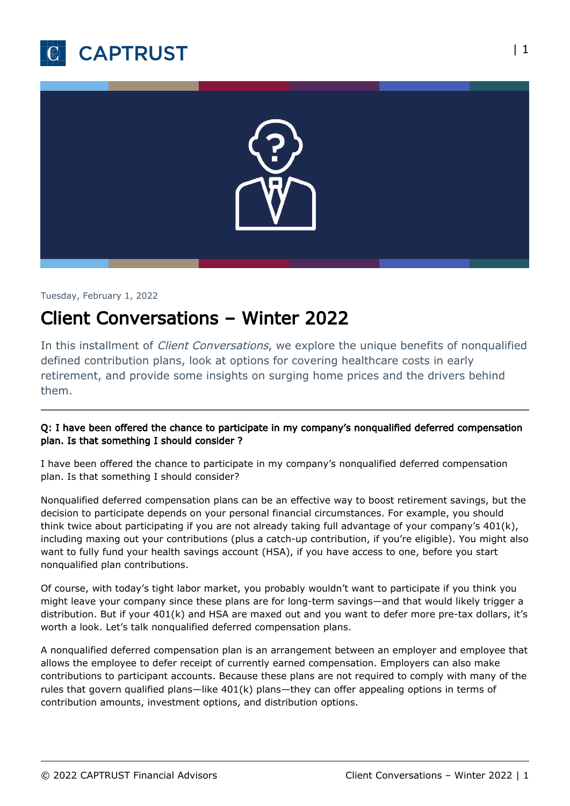



Tuesday, February 1, 2022

# Client Conversations – Winter 2022

In this installment of *Client Conversations*, we explore the unique benefits of nonqualified defined contribution plans, look at options for covering healthcare costs in early retirement, and provide some insights on surging home prices and the drivers behind them.

## Q: I have been offered the chance to participate in my company's nonqualified deferred compensation plan. Is that something I should consider ?

I have been offered the chance to participate in my company's nonqualified deferred compensation plan. Is that something I should consider?

Nonqualified deferred compensation plans can be an effective way to boost retirement savings, but the decision to participate depends on your personal financial circumstances. For example, you should think twice about participating if you are not already taking full advantage of your company's 401(k), including maxing out your contributions (plus a catch-up contribution, if you're eligible). You might also want to fully fund your health savings account (HSA), if you have access to one, before you start nonqualified plan contributions.

Of course, with today's tight labor market, you probably wouldn't want to participate if you think you might leave your company since these plans are for long-term savings—and that would likely trigger a distribution. But if your 401(k) and HSA are maxed out and you want to defer more pre-tax dollars, it's worth a look. Let's talk nonqualified deferred compensation plans.

A nonqualified deferred compensation plan is an arrangement between an employer and employee that allows the employee to defer receipt of currently earned compensation. Employers can also make contributions to participant accounts. Because these plans are not required to comply with many of the rules that govern qualified plans—like 401(k) plans—they can offer appealing options in terms of contribution amounts, investment options, and distribution options.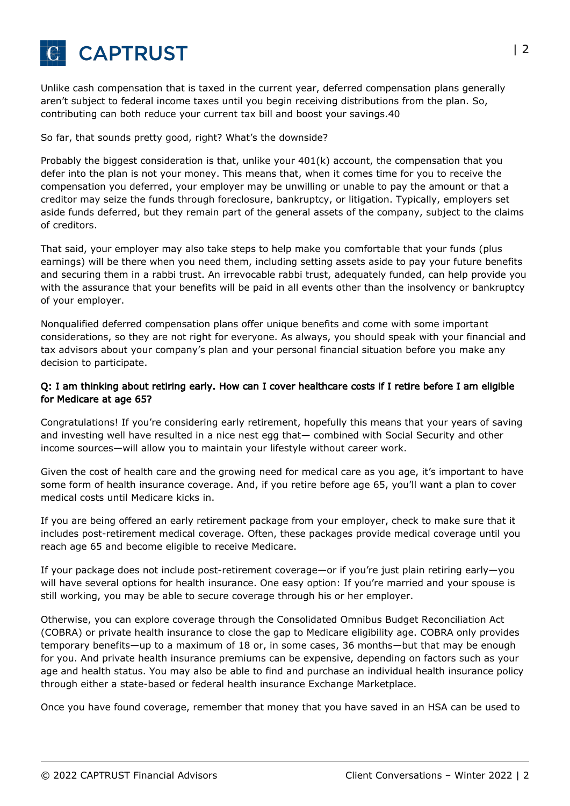

Unlike cash compensation that is taxed in the current year, deferred compensation plans generally aren't subject to federal income taxes until you begin receiving distributions from the plan. So, contributing can both reduce your current tax bill and boost your savings.40

#### So far, that sounds pretty good, right? What's the downside?

Probably the biggest consideration is that, unlike your 401(k) account, the compensation that you defer into the plan is not your money. This means that, when it comes time for you to receive the compensation you deferred, your employer may be unwilling or unable to pay the amount or that a creditor may seize the funds through foreclosure, bankruptcy, or litigation. Typically, employers set aside funds deferred, but they remain part of the general assets of the company, subject to the claims of creditors.

That said, your employer may also take steps to help make you comfortable that your funds (plus earnings) will be there when you need them, including setting assets aside to pay your future benefits and securing them in a rabbi trust. An irrevocable rabbi trust, adequately funded, can help provide you with the assurance that your benefits will be paid in all events other than the insolvency or bankruptcy of your employer.

Nonqualified deferred compensation plans offer unique benefits and come with some important considerations, so they are not right for everyone. As always, you should speak with your financial and tax advisors about your company's plan and your personal financial situation before you make any decision to participate.

### Q: I am thinking about retiring early. How can I cover healthcare costs if I retire before I am eligible for Medicare at age 65?

Congratulations! If you're considering early retirement, hopefully this means that your years of saving and investing well have resulted in a nice nest egg that— combined with Social Security and other income sources—will allow you to maintain your lifestyle without career work.

Given the cost of health care and the growing need for medical care as you age, it's important to have some form of health insurance coverage. And, if you retire before age 65, you'll want a plan to cover medical costs until Medicare kicks in.

If you are being offered an early retirement package from your employer, check to make sure that it includes post-retirement medical coverage. Often, these packages provide medical coverage until you reach age 65 and become eligible to receive Medicare.

If your package does not include post-retirement coverage—or if you're just plain retiring early—you will have several options for health insurance. One easy option: If you're married and your spouse is still working, you may be able to secure coverage through his or her employer.

Otherwise, you can explore coverage through the Consolidated Omnibus Budget Reconciliation Act (COBRA) or private health insurance to close the gap to Medicare eligibility age. COBRA only provides temporary benefits—up to a maximum of 18 or, in some cases, 36 months—but that may be enough for you. And private health insurance premiums can be expensive, depending on factors such as your age and health status. You may also be able to find and purchase an individual health insurance policy through either a state-based or federal health insurance Exchange Marketplace.

Once you have found coverage, remember that money that you have saved in an HSA can be used to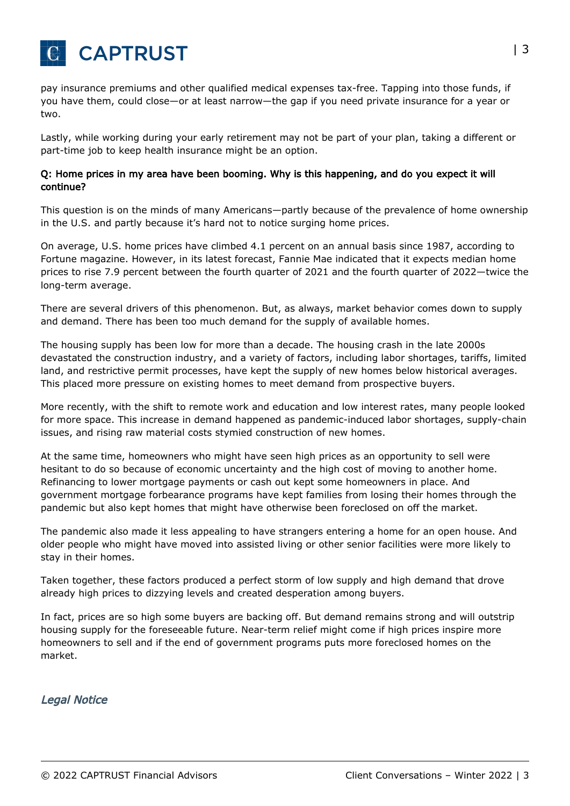

pay insurance premiums and other qualified medical expenses tax-free. Tapping into those funds, if you have them, could close—or at least narrow—the gap if you need private insurance for a year or two.

Lastly, while working during your early retirement may not be part of your plan, taking a different or part-time job to keep health insurance might be an option.

#### Q: Home prices in my area have been booming. Why is this happening, and do you expect it will continue?

This question is on the minds of many Americans—partly because of the prevalence of home ownership in the U.S. and partly because it's hard not to notice surging home prices.

On average, U.S. home prices have climbed 4.1 percent on an annual basis since 1987, according to Fortune magazine. However, in its latest forecast, Fannie Mae indicated that it expects median home prices to rise 7.9 percent between the fourth quarter of 2021 and the fourth quarter of 2022—twice the long-term average.

There are several drivers of this phenomenon. But, as always, market behavior comes down to supply and demand. There has been too much demand for the supply of available homes.

The housing supply has been low for more than a decade. The housing crash in the late 2000s devastated the construction industry, and a variety of factors, including labor shortages, tariffs, limited land, and restrictive permit processes, have kept the supply of new homes below historical averages. This placed more pressure on existing homes to meet demand from prospective buyers.

More recently, with the shift to remote work and education and low interest rates, many people looked for more space. This increase in demand happened as pandemic-induced labor shortages, supply-chain issues, and rising raw material costs stymied construction of new homes.

At the same time, homeowners who might have seen high prices as an opportunity to sell were hesitant to do so because of economic uncertainty and the high cost of moving to another home. Refinancing to lower mortgage payments or cash out kept some homeowners in place. And government mortgage forbearance programs have kept families from losing their homes through the pandemic but also kept homes that might have otherwise been foreclosed on off the market.

The pandemic also made it less appealing to have strangers entering a home for an open house. And older people who might have moved into assisted living or other senior facilities were more likely to stay in their homes.

Taken together, these factors produced a perfect storm of low supply and high demand that drove already high prices to dizzying levels and created desperation among buyers.

In fact, prices are so high some buyers are backing off. But demand remains strong and will outstrip housing supply for the foreseeable future. Near-term relief might come if high prices inspire more homeowners to sell and if the end of government programs puts more foreclosed homes on the market.

# Legal Notice